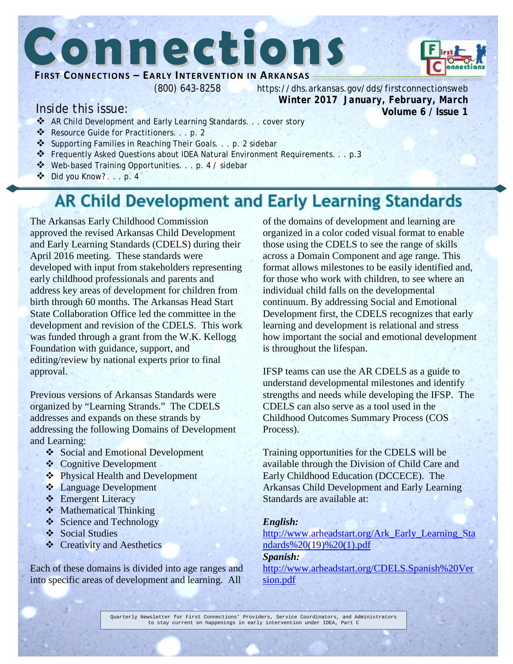



#### **FIRST CONNECTIONS – EARLY INTERVENTION IN ARKANSAS**

(800) 643-8258 https://dhs.arkansas.gov/dds/firstconnectionsweb *Winter 2017 January, February, March*  **Volume 6 / Issue 1**

### Inside this issue:

- AR Child Development and Early Learning Standards. . . cover story
- \* Resource Guide for Practitioners. . . p. 2
- Supporting Families in Reaching Their Goals. . . p. 2 sidebar
- Frequently Asked Questions about IDEA Natural Environment Requirements. . . p.3
- Web-based Training Opportunities. . . p. 4 / sidebar
- Did you Know? . . . p. 4

## **AR Child Development and Early Learning Standards**

The Arkansas Early Childhood Commission approved the revised Arkansas Child Development and Early Learning Standards (CDELS) during their April 2016 meeting. These standards were developed with input from stakeholders representing early childhood professionals and parents and address key areas of development for children from birth through 60 months. The Arkansas Head Start State Collaboration Office led the committee in the development and revision of the CDELS. This work was funded through a grant from the W.K. Kellogg Foundation with guidance, support, and editing/review by national experts prior to final approval.

Previous versions of Arkansas Standards were organized by "Learning Strands." The CDELS addresses and expands on these strands by addressing the following Domains of Development and Learning:

- ❖ Social and Emotional Development
- ❖ Cognitive Development
- ❖ Physical Health and Development
- Language Development
- ❖ Emergent Literacy
- ❖ Mathematical Thinking
- Science and Technology
- ❖ Social Studies
- Creativity and Aesthetics

Each of these domains is divided into age ranges and into specific areas of development and learning. All

of the domains of development and learning are organized in a color coded visual format to enable those using the CDELS to see the range of skills across a Domain Component and age range. This format allows milestones to be easily identified and, for those who work with children, to see where an individual child falls on the developmental continuum. By addressing Social and Emotional Development first, the CDELS recognizes that early learning and development is relational and stress how important the social and emotional development is throughout the lifespan.

IFSP teams can use the AR CDELS as a guide to understand developmental milestones and identify strengths and needs while developing the IFSP. The CDELS can also serve as a tool used in the Childhood Outcomes Summary Process (COS Process).

Training opportunities for the CDELS will be available through the Division of Child Care and Early Childhood Education (DCCECE). The Arkansas Child Development and Early Learning Standards are available at:

#### *English:*

[http://www.arheadstart.org/Ark\\_Early\\_Learning\\_Sta](http://www.arheadstart.org/Ark_Early_Learning_Standards%20(19)%20(1).pdf) [ndards%20\(19\)%20\(1\).pdf](http://www.arheadstart.org/Ark_Early_Learning_Standards%20(19)%20(1).pdf)

#### *Spanish:*

[http://www.arheadstart.org/CDELS.Spanish%20Ver](http://www.arheadstart.org/CDELS.Spanish%20Version.pdf) [sion.pdf](http://www.arheadstart.org/CDELS.Spanish%20Version.pdf)

Quarterly Newsletter for First Connections' Providers, Service Coordinators, and Administrators to stay current on happenings in early intervention under IDEA, Part C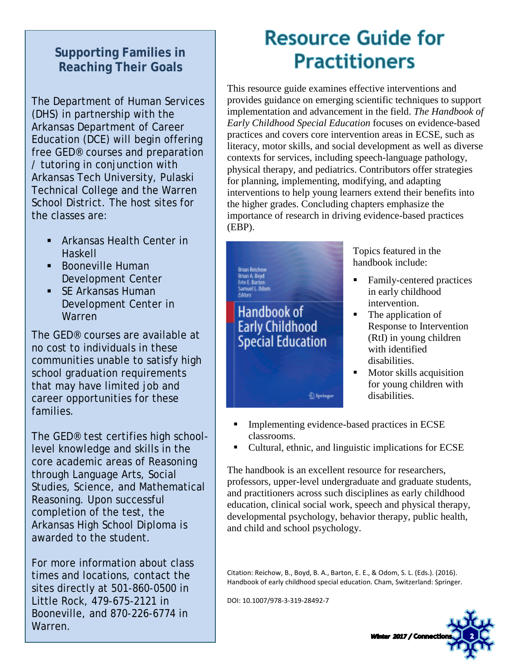### **Supporting Families in Reaching Their Goals**

The Department of Human Services (DHS) in partnership with the Arkansas Department of Career Education (DCE) will begin offering free GED® courses and preparation / tutoring in conjunction with Arkansas Tech University, Pulaski Technical College and the Warren School District. The host sites for the classes are:

- **F** Arkansas Health Center in Haskell
- **Booneville Human** Development Center
- **SE Arkansas Human** Development Center in Warren

The GED® courses are available at no cost to individuals in these communities unable to satisfy high school graduation requirements that may have limited job and career opportunities for these families.

The GED® test certifies high schoollevel knowledge and skills in the core academic areas of Reasoning through Language Arts, Social Studies, Science, and Mathematical Reasoning. Upon successful completion of the test, the Arkansas High School Diploma is awarded to the student.

For more information about class times and locations, contact the sites directly at 501-860-0500 in Little Rock, 479-675-2121 in Booneville, and 870-226-6774 in Warren.

## **Resource Guide for Practitioners**

This resource guide examines effective interventions and provides guidance on emerging scientific techniques to support implementation and advancement in the field. *The Handbook of Early Childhood Special Education* focuses on evidence-based practices and covers core intervention areas in ECSE, such as literacy, motor skills, and social development as well as diverse contexts for services, including speech-language pathology, physical therapy, and pediatrics. Contributors offer strategies for planning, implementing, modifying, and adapting interventions to help young learners extend their benefits into the higher grades. Concluding chapters emphasize the importance of research in driving evidence-based practices (EBP).



Topics featured in the handbook include:

- Family-centered practices in early childhood intervention.
- $\blacksquare$  The application of Response to Intervention (RtI) in young children with identified disabilities.
- **Motor skills acquisition** for young children with disabilities.
- **Implementing evidence-based practices in ECSE** classrooms.
- Cultural, ethnic, and linguistic implications for ECSE

The handbook is an excellent resource for researchers, professors, upper-level undergraduate and graduate students, and practitioners across such disciplines as early childhood education, clinical social work, speech and physical therapy, developmental psychology, behavior therapy, public health, and child and school psychology.

Citation: Reichow, B., Boyd, B. A., Barton, E. E., & Odom, S. L. (Eds.). (2016). Handbook of early childhood special education. Cham, Switzerland: Springer.

DOI: 10.1007/978-3-319-28492-7

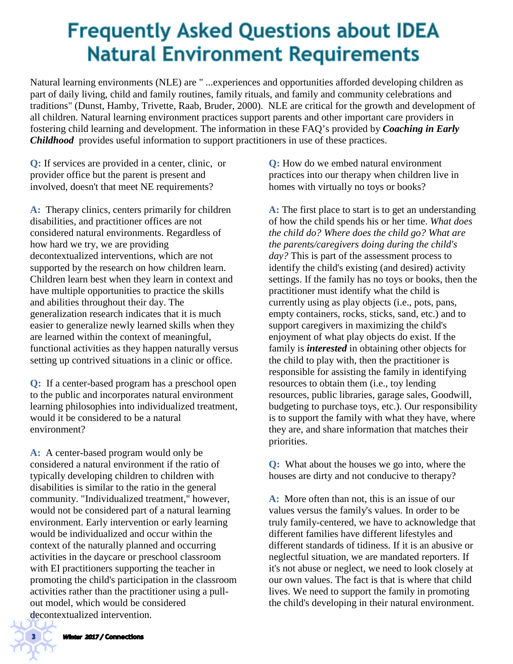## **Frequently Asked Questions about IDEA Natural Environment Requirements**

Natural learning environments (NLE) are " ...experiences and opportunities afforded developing children as part of daily living, child and family routines, family rituals, and family and community celebrations and traditions" (Dunst, Hamby, Trivette, Raab, Bruder, 2000). NLE are critical for the growth and development of all children. Natural learning environment practices support parents and other important care providers in fostering child learning and development. The information in these FAQ's provided by *Coaching in Early Childhood* provides useful information to support practitioners in use of these practices.

**Q:** If services are provided in a center, clinic, or provider office but the parent is present and involved, doesn't that meet NE requirements?

**A:** Therapy clinics, centers primarily for children disabilities, and practitioner offices are not considered natural environments. Regardless of how hard we try, we are providing decontextualized interventions, which are not supported by the research on how children learn. Children learn best when they learn in context and have multiple opportunities to practice the skills and abilities throughout their day. The generalization research indicates that it is much easier to generalize newly learned skills when they are learned within the context of meaningful, functional activities as they happen naturally versus setting up contrived situations in a clinic or office.

**Q:** If a center-based program has a preschool open to the public and incorporates natural environment learning philosophies into individualized treatment, would it be considered to be a natural environment?

**A:** A center-based program would only be considered a natural environment if the ratio of typically developing children to children with disabilities is similar to the ratio in the general community. "Individualized treatment," however, would not be considered part of a natural learning environment. Early intervention or early learning would be individualized and occur within the context of the naturally planned and occurring activities in the daycare or preschool classroom with EI practitioners supporting the teacher in promoting the child's participation in the classroom activities rather than the practitioner using a pullout model, which would be considered decontextualized intervention.

**Q:** How do we embed natural environment practices into our therapy when children live in homes with virtually no toys or books?

**A:** The first place to start is to get an understanding of how the child spends his or her time. *What does the child do? Where does the child go? What are the parents/caregivers doing during the child's day?* This is part of the assessment process to identify the child's existing (and desired) activity settings. If the family has no toys or books, then the practitioner must identify what the child is currently using as play objects (i.e., pots, pans, empty containers, rocks, sticks, sand, etc.) and to support caregivers in maximizing the child's enjoyment of what play objects do exist. If the family is *interested* in obtaining other objects for the child to play with, then the practitioner is responsible for assisting the family in identifying resources to obtain them (i.e., toy lending resources, public libraries, garage sales, Goodwill, budgeting to purchase toys, etc.). Our responsibility is to support the family with what they have, where they are, and share information that matches their priorities.

**Q:** What about the houses we go into, where the houses are dirty and not conducive to therapy?

**A:** More often than not, this is an issue of our values versus the family's values. In order to be truly family-centered, we have to acknowledge that different families have different lifestyles and different standards of tidiness. If it is an abusive or neglectful situation, we are mandated reporters. If it's not abuse or neglect, we need to look closely at our own values. The fact is that is where that child lives. We need to support the family in promoting the child's developing in their natural environment.

Winter 2017 / Connections

 $3<sup>1</sup>$